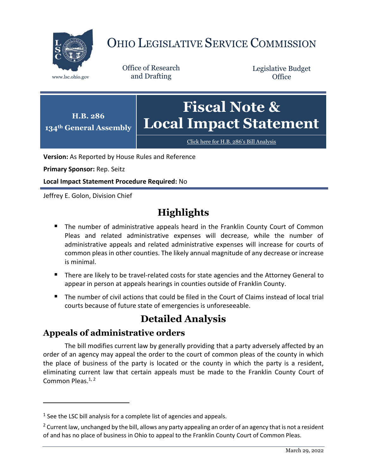

# OHIO LEGISLATIVE SERVICE COMMISSION

Office of Research www.lsc.ohio.gov and Drafting

Legislative Budget **Office** 



Click here for H.B. 286'[s Bill Analysis](https://www.legislature.ohio.gov/legislation/legislation-documents?id=GA134-HB-286)

**Version:** As Reported by House Rules and Reference

**Primary Sponsor:** Rep. Seitz

**Local Impact Statement Procedure Required:** No

Jeffrey E. Golon, Division Chief

## **Highlights**

- **The number of administrative appeals heard in the Franklin County Court of Common** Pleas and related administrative expenses will decrease, while the number of administrative appeals and related administrative expenses will increase for courts of common pleas in other counties. The likely annual magnitude of any decrease or increase is minimal.
- There are likely to be travel-related costs for state agencies and the Attorney General to appear in person at appeals hearings in counties outside of Franklin County.
- The number of civil actions that could be filed in the Court of Claims instead of local trial courts because of future state of emergencies is unforeseeable.

## **Detailed Analysis**

#### **Appeals of administrative orders**

 $\overline{a}$ 

The bill modifies current law by generally providing that a party adversely affected by an order of an agency may appeal the order to the court of common pleas of the county in which the place of business of the party is located or the county in which the party is a resident, eliminating current law that certain appeals must be made to the Franklin County Court of Common Pleas.<sup>1, 2</sup>

 $<sup>1</sup>$  See the LSC bill analysis for a complete list of agencies and appeals.</sup>

<sup>&</sup>lt;sup>2</sup> Current law, unchanged by the bill, allows any party appealing an order of an agency that is not a resident of and has no place of business in Ohio to appeal to the Franklin County Court of Common Pleas.